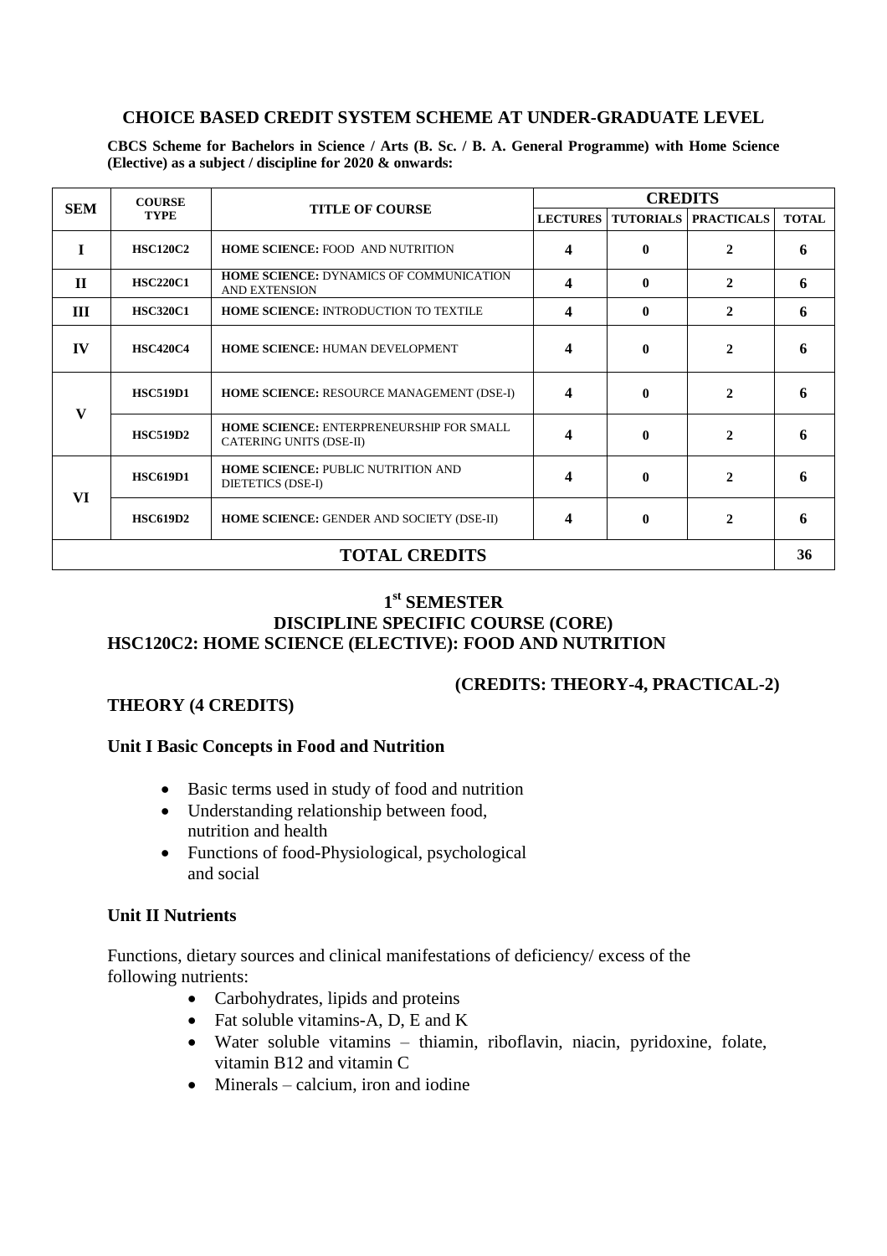### **CHOICE BASED CREDIT SYSTEM SCHEME AT UNDER-GRADUATE LEVEL**

**CBCS Scheme for Bachelors in Science / Arts (B. Sc. / B. A. General Programme) with Home Science (Elective) as a subject / discipline for 2020 & onwards:**

| <b>SEM</b>           | <b>COURSE</b><br><b>TYPE</b> | <b>TITLE OF COURSE</b>                                                     | <b>CREDITS</b>          |              |                             |              |
|----------------------|------------------------------|----------------------------------------------------------------------------|-------------------------|--------------|-----------------------------|--------------|
|                      |                              |                                                                            | <b>LECTURES</b>         |              | <b>TUTORIALS PRACTICALS</b> | <b>TOTAL</b> |
|                      | <b>HSC120C2</b>              | <b>HOME SCIENCE: FOOD AND NUTRITION</b>                                    | 4                       | 0            | $\mathbf{2}$                | 6            |
| $\Pi$                | <b>HSC220C1</b>              | <b>HOME SCIENCE: DYNAMICS OF COMMUNICATION</b><br><b>AND EXTENSION</b>     | 4                       | $\mathbf{0}$ | $\mathbf{2}$                | 6            |
| Ш                    | <b>HSC320C1</b>              | <b>HOME SCIENCE: INTRODUCTION TO TEXTILE</b>                               | 4                       | $\mathbf{0}$ | $\mathbf{2}$                | 6            |
| $\mathbf{IV}$        | <b>HSC420C4</b>              | <b>HOME SCIENCE: HUMAN DEVELOPMENT</b>                                     | 4                       | $\mathbf{0}$ | $\mathbf{2}$                | 6            |
| $\mathbf{V}$         | <b>HSC519D1</b>              | <b>HOME SCIENCE: RESOURCE MANAGEMENT (DSE-I)</b>                           | $\overline{\mathbf{4}}$ | $\mathbf{0}$ | $\mathbf{2}$                | 6            |
|                      | <b>HSC519D2</b>              | <b>HOME SCIENCE: ENTERPRENEURSHIP FOR SMALL</b><br>CATERING UNITS (DSE-II) | 4                       | 0            | $\mathbf{2}$                | 6            |
| VI                   | <b>HSC619D1</b>              | <b>HOME SCIENCE: PUBLIC NUTRITION AND</b><br>DIETETICS (DSE-I)             | 4                       | 0            | $\mathbf{2}$                | 6            |
|                      | <b>HSC619D2</b>              | <b>HOME SCIENCE: GENDER AND SOCIETY (DSE-II)</b>                           | 4                       | 0            | $\mathbf{2}$                | 6            |
| <b>TOTAL CREDITS</b> |                              |                                                                            |                         |              |                             | 36           |

#### **1 st SEMESTER DISCIPLINE SPECIFIC COURSE (CORE) HSC120C2: HOME SCIENCE (ELECTIVE): FOOD AND NUTRITION**

## **(CREDITS: THEORY-4, PRACTICAL-2)**

#### **THEORY (4 CREDITS)**

#### **Unit I Basic Concepts in Food and Nutrition**

- Basic terms used in study of food and nutrition
- Understanding relationship between food, nutrition and health
- Functions of food-Physiological, psychological and social

#### **Unit II Nutrients**

Functions, dietary sources and clinical manifestations of deficiency/ excess of the following nutrients:

- Carbohydrates, lipids and proteins
- Fat soluble vitamins-A, D, E and K
- Water soluble vitamins thiamin, riboflavin, niacin, pyridoxine, folate, vitamin B12 and vitamin C
- $\bullet$  Minerals calcium, iron and iodine